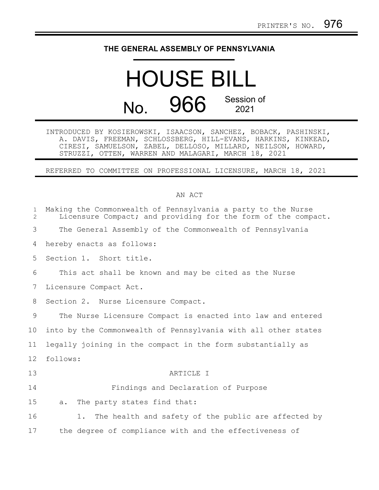### **THE GENERAL ASSEMBLY OF PENNSYLVANIA**

# HOUSE BILL No. 966 Session of

INTRODUCED BY KOSIEROWSKI, ISAACSON, SANCHEZ, BOBACK, PASHINSKI, A. DAVIS, FREEMAN, SCHLOSSBERG, HILL-EVANS, HARKINS, KINKEAD, CIRESI, SAMUELSON, ZABEL, DELLOSO, MILLARD, NEILSON, HOWARD, STRUZZI, OTTEN, WARREN AND MALAGARI, MARCH 18, 2021

REFERRED TO COMMITTEE ON PROFESSIONAL LICENSURE, MARCH 18, 2021

#### AN ACT

| $\mathbf{1}$<br>$\mathcal{L}$ | Making the Commonwealth of Pennsylvania a party to the Nurse<br>Licensure Compact; and providing for the form of the compact. |
|-------------------------------|-------------------------------------------------------------------------------------------------------------------------------|
| 3                             | The General Assembly of the Commonwealth of Pennsylvania                                                                      |
| 4                             | hereby enacts as follows:                                                                                                     |
| 5                             | Section 1. Short title.                                                                                                       |
| 6                             | This act shall be known and may be cited as the Nurse                                                                         |
| 7                             | Licensure Compact Act.                                                                                                        |
| 8                             | Section 2. Nurse Licensure Compact.                                                                                           |
| 9                             | The Nurse Licensure Compact is enacted into law and entered                                                                   |
| 10                            | into by the Commonwealth of Pennsylvania with all other states                                                                |
| 11                            | legally joining in the compact in the form substantially as                                                                   |
| 12 <sup>°</sup>               | follows:                                                                                                                      |
| 13                            | ARTICLE I                                                                                                                     |
| 14                            | Findings and Declaration of Purpose                                                                                           |
| 15                            | The party states find that:<br>a.                                                                                             |
| 16                            | The health and safety of the public are affected by<br>1.                                                                     |
| 17                            | the degree of compliance with and the effectiveness of                                                                        |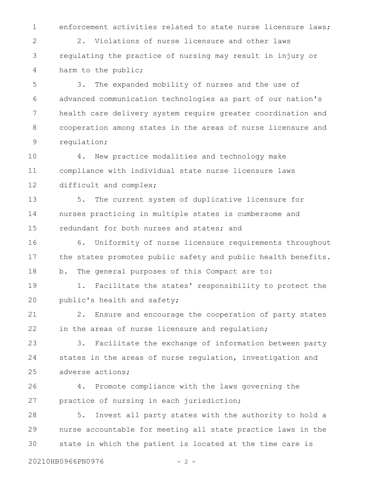1

enforcement activities related to state nurse licensure laws;

2. Violations of nurse licensure and other laws regulating the practice of nursing may result in injury or harm to the public; 2 3 4

3. The expanded mobility of nurses and the use of advanced communication technologies as part of our nation's health care delivery system require greater coordination and cooperation among states in the areas of nurse licensure and regulation; 5 6 7 8 9

4. New practice modalities and technology make compliance with individual state nurse licensure laws difficult and complex; 10 11 12

5. The current system of duplicative licensure for nurses practicing in multiple states is cumbersome and redundant for both nurses and states; and 13 14 15

6. Uniformity of nurse licensure requirements throughout the states promotes public safety and public health benefits. b. The general purposes of this Compact are to: 16 17 18

1. Facilitate the states' responsibility to protect the public's health and safety; 19 20

2. Ensure and encourage the cooperation of party states in the areas of nurse licensure and regulation; 21 22

3. Facilitate the exchange of information between party states in the areas of nurse regulation, investigation and adverse actions; 23 24 25

4. Promote compliance with the laws governing the practice of nursing in each jurisdiction; 26 27

5. Invest all party states with the authority to hold a nurse accountable for meeting all state practice laws in the state in which the patient is located at the time care is 28 29 30

20210HB0966PN0976 - 2 -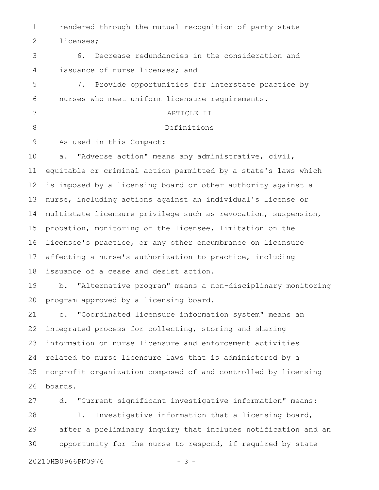rendered through the mutual recognition of party state licenses; 1 2

6. Decrease redundancies in the consideration and issuance of nurse licenses; and 3 4

7. Provide opportunities for interstate practice by nurses who meet uniform licensure requirements. 5 6

ARTICLE II Definitions 7 8

As used in this Compact: 9

a. "Adverse action" means any administrative, civil, equitable or criminal action permitted by a state's laws which is imposed by a licensing board or other authority against a nurse, including actions against an individual's license or multistate licensure privilege such as revocation, suspension, probation, monitoring of the licensee, limitation on the licensee's practice, or any other encumbrance on licensure affecting a nurse's authorization to practice, including issuance of a cease and desist action. 10 11 12 13 14 15 16 17 18

b. "Alternative program" means a non-disciplinary monitoring program approved by a licensing board. 19 20

c. "Coordinated licensure information system" means an integrated process for collecting, storing and sharing information on nurse licensure and enforcement activities related to nurse licensure laws that is administered by a nonprofit organization composed of and controlled by licensing boards. 21 22 23 24 25 26

d. "Current significant investigative information" means: 1. Investigative information that a licensing board, after a preliminary inquiry that includes notification and an opportunity for the nurse to respond, if required by state 27 28 29 30

20210HB0966PN0976 - 3 -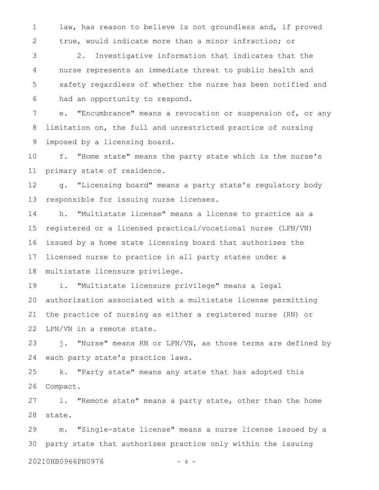law, has reason to believe is not groundless and, if proved true, would indicate more than a minor infraction; or 1 2

2. Investigative information that indicates that the nurse represents an immediate threat to public health and safety regardless of whether the nurse has been notified and had an opportunity to respond. 3 4 5 6

e. "Encumbrance" means a revocation or suspension of, or any limitation on, the full and unrestricted practice of nursing imposed by a licensing board. 7 8 9

f. "Home state" means the party state which is the nurse's primary state of residence. 10 11

g. "Licensing board" means a party state's regulatory body responsible for issuing nurse licenses. 12 13

h. "Multistate license" means a license to practice as a registered or a licensed practical/vocational nurse (LPN/VN) issued by a home state licensing board that authorizes the licensed nurse to practice in all party states under a multistate licensure privilege. 14 15 16 17 18

i. "Multistate licensure privilege" means a legal authorization associated with a multistate license permitting the practice of nursing as either a registered nurse (RN) or LPN/VN in a remote state. 19 20 21 22

j. "Nurse" means RN or LPN/VN, as those terms are defined by each party state's practice laws. 23 24

k. "Party state" means any state that has adopted this Compact. 25 26

l. "Remote state" means a party state, other than the home state. 27 28

m. "Single-state license" means a nurse license issued by a party state that authorizes practice only within the issuing 29 30

20210HB0966PN0976 - 4 -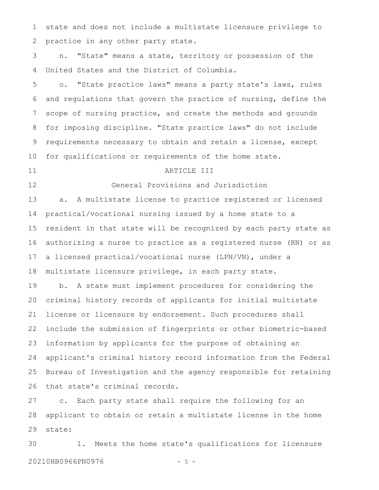state and does not include a multistate licensure privilege to practice in any other party state. 1 2

n. "State" means a state, territory or possession of the United States and the District of Columbia. 3 4

o. "State practice laws" means a party state's laws, rules and regulations that govern the practice of nursing, define the scope of nursing practice, and create the methods and grounds for imposing discipline. "State practice laws" do not include requirements necessary to obtain and retain a license, except for qualifications or requirements of the home state. 5 6 7 8 9 10

#### 11

#### ARTICLE III

12

General Provisions and Jurisdiction

a. A multistate license to practice registered or licensed practical/vocational nursing issued by a home state to a resident in that state will be recognized by each party state as authorizing a nurse to practice as a registered nurse (RN) or as a licensed practical/vocational nurse (LPN/VN), under a multistate licensure privilege, in each party state. 13 14 15 16 17 18

b. A state must implement procedures for considering the criminal history records of applicants for initial multistate license or licensure by endorsement. Such procedures shall include the submission of fingerprints or other biometric-based information by applicants for the purpose of obtaining an applicant's criminal history record information from the Federal Bureau of Investigation and the agency responsible for retaining that state's criminal records. 19 20 21 22 23 24 25 26

c. Each party state shall require the following for an applicant to obtain or retain a multistate license in the home state: 27 28 29

1. Meets the home state's qualifications for licensure 20210HB0966PN0976 - 5 -30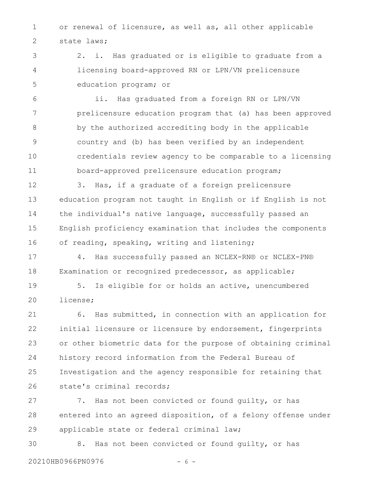or renewal of licensure, as well as, all other applicable state laws; 1 2

2. i. Has graduated or is eligible to graduate from a licensing board-approved RN or LPN/VN prelicensure education program; or 3 4 5

ii. Has graduated from a foreign RN or LPN/VN prelicensure education program that (a) has been approved by the authorized accrediting body in the applicable country and (b) has been verified by an independent credentials review agency to be comparable to a licensing board-approved prelicensure education program; 6 7 8 9 10 11

3. Has, if a graduate of a foreign prelicensure education program not taught in English or if English is not the individual's native language, successfully passed an English proficiency examination that includes the components of reading, speaking, writing and listening; 12 13 14 15 16

4. Has successfully passed an NCLEX-RN® or NCLEX-PN® Examination or recognized predecessor, as applicable; 17 18

5. Is eligible for or holds an active, unencumbered license; 19 20

6. Has submitted, in connection with an application for initial licensure or licensure by endorsement, fingerprints or other biometric data for the purpose of obtaining criminal history record information from the Federal Bureau of Investigation and the agency responsible for retaining that state's criminal records; 21 22 23 24 25 26

7. Has not been convicted or found guilty, or has entered into an agreed disposition, of a felony offense under applicable state or federal criminal law; 27 28 29

8. Has not been convicted or found guilty, or has 30

20210HB0966PN0976 - 6 -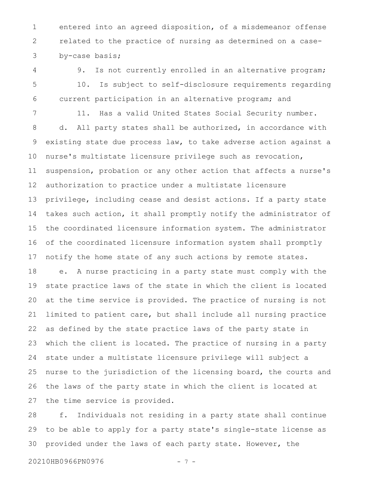entered into an agreed disposition, of a misdemeanor offense related to the practice of nursing as determined on a caseby-case basis; 1 2 3

9. Is not currently enrolled in an alternative program; 10. Is subject to self-disclosure requirements regarding current participation in an alternative program; and 4 5 6

11. Has a valid United States Social Security number. d. All party states shall be authorized, in accordance with existing state due process law, to take adverse action against a nurse's multistate licensure privilege such as revocation, suspension, probation or any other action that affects a nurse's authorization to practice under a multistate licensure privilege, including cease and desist actions. If a party state takes such action, it shall promptly notify the administrator of the coordinated licensure information system. The administrator of the coordinated licensure information system shall promptly notify the home state of any such actions by remote states. 7 8 9 10 11 12 13 14 15 16 17

e. A nurse practicing in a party state must comply with the state practice laws of the state in which the client is located at the time service is provided. The practice of nursing is not limited to patient care, but shall include all nursing practice as defined by the state practice laws of the party state in which the client is located. The practice of nursing in a party state under a multistate licensure privilege will subject a nurse to the jurisdiction of the licensing board, the courts and the laws of the party state in which the client is located at the time service is provided. 18 19 20 21 22 23 24 25 26 27

f. Individuals not residing in a party state shall continue to be able to apply for a party state's single-state license as provided under the laws of each party state. However, the 28 29 30

20210HB0966PN0976 - 7 -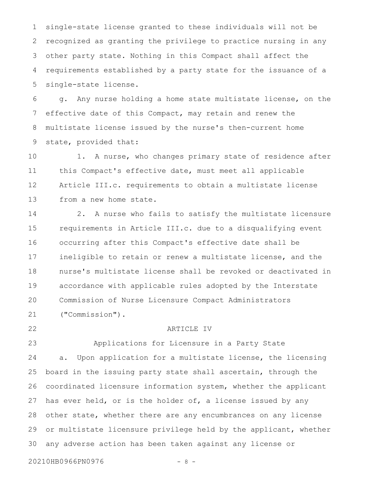single-state license granted to these individuals will not be recognized as granting the privilege to practice nursing in any other party state. Nothing in this Compact shall affect the requirements established by a party state for the issuance of a single-state license. 1 2 3 4 5

g. Any nurse holding a home state multistate license, on the effective date of this Compact, may retain and renew the multistate license issued by the nurse's then-current home state, provided that: 6 7 8 9

1. A nurse, who changes primary state of residence after this Compact's effective date, must meet all applicable Article III.c. requirements to obtain a multistate license from a new home state. 10 11 12 13

2. A nurse who fails to satisfy the multistate licensure requirements in Article III.c. due to a disqualifying event occurring after this Compact's effective date shall be ineligible to retain or renew a multistate license, and the nurse's multistate license shall be revoked or deactivated in accordance with applicable rules adopted by the Interstate Commission of Nurse Licensure Compact Administrators ("Commission"). 14 15 16 17 18 19 20 21

22

#### ARTICLE IV

Applications for Licensure in a Party State a. Upon application for a multistate license, the licensing board in the issuing party state shall ascertain, through the coordinated licensure information system, whether the applicant has ever held, or is the holder of, a license issued by any other state, whether there are any encumbrances on any license or multistate licensure privilege held by the applicant, whether any adverse action has been taken against any license or 23 24 25 26 27 28 29 30

20210HB0966PN0976 - 8 -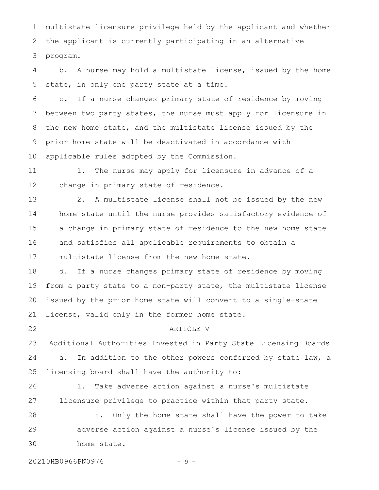multistate licensure privilege held by the applicant and whether the applicant is currently participating in an alternative program. 1 2 3

b. A nurse may hold a multistate license, issued by the home state, in only one party state at a time. 4 5

c. If a nurse changes primary state of residence by moving between two party states, the nurse must apply for licensure in the new home state, and the multistate license issued by the prior home state will be deactivated in accordance with applicable rules adopted by the Commission. 6 7 8 9 10

1. The nurse may apply for licensure in advance of a change in primary state of residence. 11 12

2. A multistate license shall not be issued by the new home state until the nurse provides satisfactory evidence of a change in primary state of residence to the new home state and satisfies all applicable requirements to obtain a multistate license from the new home state. 13 14 15 16 17

d. If a nurse changes primary state of residence by moving from a party state to a non-party state, the multistate license issued by the prior home state will convert to a single-state license, valid only in the former home state. 18 19 20 21

22

ARTICLE V

Additional Authorities Invested in Party State Licensing Boards a. In addition to the other powers conferred by state law, a licensing board shall have the authority to: 23 24 25

1. Take adverse action against a nurse's multistate licensure privilege to practice within that party state. 26 27

i. Only the home state shall have the power to take adverse action against a nurse's license issued by the home state. 28 29 30

20210HB0966PN0976 - 9 -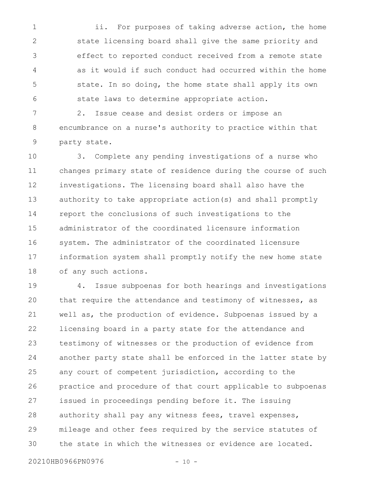ii. For purposes of taking adverse action, the home state licensing board shall give the same priority and effect to reported conduct received from a remote state as it would if such conduct had occurred within the home state. In so doing, the home state shall apply its own state laws to determine appropriate action. 1 2 3 4 5 6

2. Issue cease and desist orders or impose an encumbrance on a nurse's authority to practice within that party state. 7 8 9

3. Complete any pending investigations of a nurse who changes primary state of residence during the course of such investigations. The licensing board shall also have the authority to take appropriate action(s) and shall promptly report the conclusions of such investigations to the administrator of the coordinated licensure information system. The administrator of the coordinated licensure information system shall promptly notify the new home state of any such actions. 10 11 12 13 14 15 16 17 18

4. Issue subpoenas for both hearings and investigations that require the attendance and testimony of witnesses, as well as, the production of evidence. Subpoenas issued by a licensing board in a party state for the attendance and testimony of witnesses or the production of evidence from another party state shall be enforced in the latter state by any court of competent jurisdiction, according to the practice and procedure of that court applicable to subpoenas issued in proceedings pending before it. The issuing authority shall pay any witness fees, travel expenses, mileage and other fees required by the service statutes of the state in which the witnesses or evidence are located. 19 20 21 22 23 24 25 26 27 28 29 30

20210HB0966PN0976 - 10 -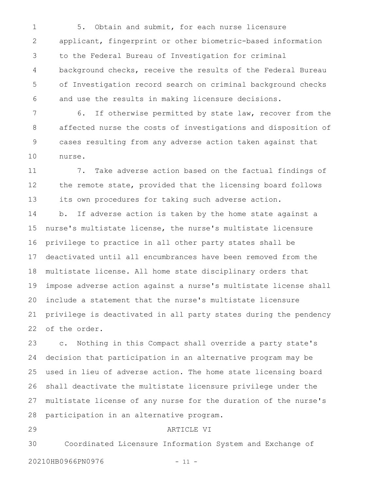5. Obtain and submit, for each nurse licensure applicant, fingerprint or other biometric-based information to the Federal Bureau of Investigation for criminal background checks, receive the results of the Federal Bureau of Investigation record search on criminal background checks and use the results in making licensure decisions. 1 2 3 4 5 6

6. If otherwise permitted by state law, recover from the affected nurse the costs of investigations and disposition of cases resulting from any adverse action taken against that nurse. 7 8 9 10

7. Take adverse action based on the factual findings of the remote state, provided that the licensing board follows its own procedures for taking such adverse action. 11 12 13

b. If adverse action is taken by the home state against a nurse's multistate license, the nurse's multistate licensure privilege to practice in all other party states shall be deactivated until all encumbrances have been removed from the multistate license. All home state disciplinary orders that impose adverse action against a nurse's multistate license shall include a statement that the nurse's multistate licensure privilege is deactivated in all party states during the pendency of the order. 14 15 16 17 18 19 20 21 22

c. Nothing in this Compact shall override a party state's decision that participation in an alternative program may be used in lieu of adverse action. The home state licensing board shall deactivate the multistate licensure privilege under the multistate license of any nurse for the duration of the nurse's participation in an alternative program. 23 24 25 26 27 28

29

#### ARTICLE VI

Coordinated Licensure Information System and Exchange of 20210HB0966PN0976 - 11 -30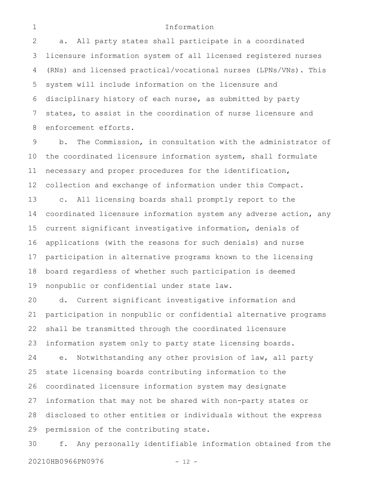#### Information

a. All party states shall participate in a coordinated licensure information system of all licensed registered nurses (RNs) and licensed practical/vocational nurses (LPNs/VNs). This system will include information on the licensure and disciplinary history of each nurse, as submitted by party states, to assist in the coordination of nurse licensure and enforcement efforts. 2 3 4 5 6 7 8

b. The Commission, in consultation with the administrator of the coordinated licensure information system, shall formulate necessary and proper procedures for the identification, collection and exchange of information under this Compact. c. All licensing boards shall promptly report to the coordinated licensure information system any adverse action, any current significant investigative information, denials of applications (with the reasons for such denials) and nurse participation in alternative programs known to the licensing board regardless of whether such participation is deemed nonpublic or confidential under state law. 9 10 11 12 13 14 15 16 17 18 19

d. Current significant investigative information and participation in nonpublic or confidential alternative programs shall be transmitted through the coordinated licensure information system only to party state licensing boards. e. Notwithstanding any other provision of law, all party state licensing boards contributing information to the coordinated licensure information system may designate information that may not be shared with non-party states or disclosed to other entities or individuals without the express permission of the contributing state. 20 21 22 23 24 25 26 27 28 29

f. Any personally identifiable information obtained from the 20210HB0966PN0976 - 12 -30

1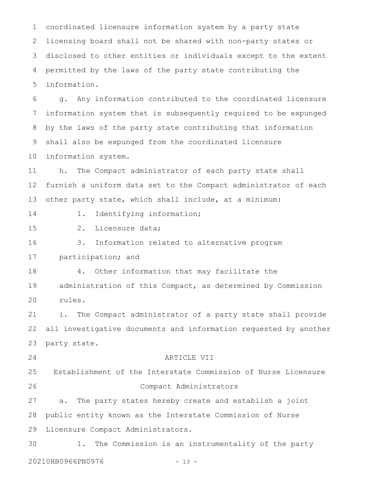coordinated licensure information system by a party state licensing board shall not be shared with non-party states or disclosed to other entities or individuals except to the extent permitted by the laws of the party state contributing the information. 1 2 3 4 5

g. Any information contributed to the coordinated licensure information system that is subsequently required to be expunged by the laws of the party state contributing that information shall also be expunged from the coordinated licensure information system. 6 7 8 9 10

h. The Compact administrator of each party state shall furnish a uniform data set to the Compact administrator of each other party state, which shall include, at a minimum: 11 12 13

- 14
- 1. Identifying information;

2. Licensure data; 15

3. Information related to alternative program 16

participation; and 17

4. Other information that may facilitate the administration of this Compact, as determined by Commission rules. 18 19 20

i. The Compact administrator of a party state shall provide all investigative documents and information requested by another party state. 21 22 23

24

#### ARTICLE VII

Establishment of the Interstate Commission of Nurse Licensure Compact Administrators 25 26

a. The party states hereby create and establish a joint public entity known as the Interstate Commission of Nurse Licensure Compact Administrators. 27 28 29

1. The Commission is an instrumentality of the party 20210HB0966PN0976 - 13 -30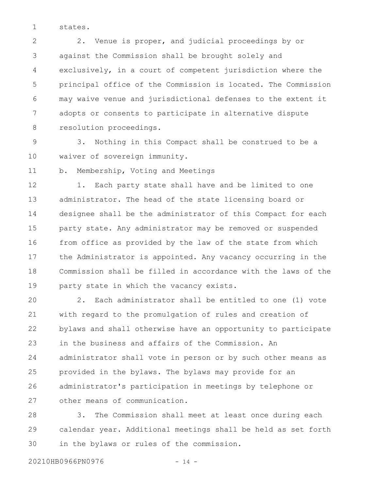states. 1

2. Venue is proper, and judicial proceedings by or against the Commission shall be brought solely and exclusively, in a court of competent jurisdiction where the principal office of the Commission is located. The Commission may waive venue and jurisdictional defenses to the extent it adopts or consents to participate in alternative dispute resolution proceedings. 2 3 4 5 6 7 8

3. Nothing in this Compact shall be construed to be a waiver of sovereign immunity. 9 10

b. Membership, Voting and Meetings 11

1. Each party state shall have and be limited to one administrator. The head of the state licensing board or designee shall be the administrator of this Compact for each party state. Any administrator may be removed or suspended from office as provided by the law of the state from which the Administrator is appointed. Any vacancy occurring in the Commission shall be filled in accordance with the laws of the party state in which the vacancy exists. 12 13 14 15 16 17 18 19

2. Each administrator shall be entitled to one (1) vote with regard to the promulgation of rules and creation of bylaws and shall otherwise have an opportunity to participate in the business and affairs of the Commission. An administrator shall vote in person or by such other means as provided in the bylaws. The bylaws may provide for an administrator's participation in meetings by telephone or other means of communication. 20 21 22 23 24 25 26 27

3. The Commission shall meet at least once during each calendar year. Additional meetings shall be held as set forth in the bylaws or rules of the commission. 28 29 30

20210HB0966PN0976 - 14 -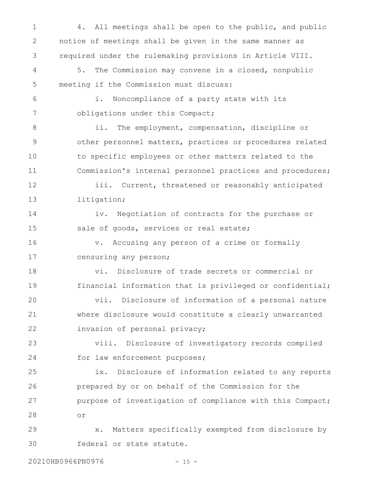4. All meetings shall be open to the public, and public notice of meetings shall be given in the same manner as required under the rulemaking provisions in Article VIII. 5. The Commission may convene in a closed, nonpublic meeting if the Commission must discuss: i. Noncompliance of a party state with its obligations under this Compact; ii. The employment, compensation, discipline or other personnel matters, practices or procedures related to specific employees or other matters related to the Commission's internal personnel practices and procedures; iii. Current, threatened or reasonably anticipated litigation; iv. Negotiation of contracts for the purchase or sale of goods, services or real estate; v. Accusing any person of a crime or formally censuring any person; vi. Disclosure of trade secrets or commercial or financial information that is privileged or confidential; vii. Disclosure of information of a personal nature where disclosure would constitute a clearly unwarranted invasion of personal privacy; viii. Disclosure of investigatory records compiled for law enforcement purposes; ix. Disclosure of information related to any reports prepared by or on behalf of the Commission for the purpose of investigation of compliance with this Compact; or x. Matters specifically exempted from disclosure by federal or state statute. 1 2 3 4 5 6 7 8 9 10 11 12 13 14 15 16 17 18 19 20 21 22 23 24 25 26 27 28 29 30

20210HB0966PN0976 - 15 -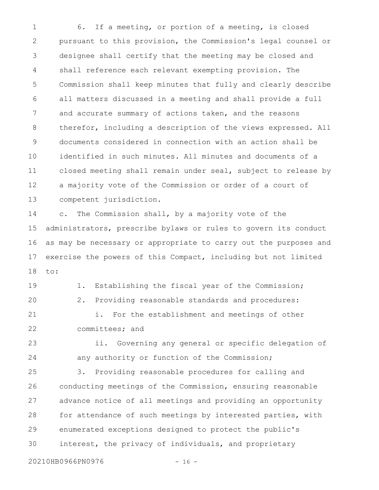6. If a meeting, or portion of a meeting, is closed pursuant to this provision, the Commission's legal counsel or designee shall certify that the meeting may be closed and shall reference each relevant exempting provision. The Commission shall keep minutes that fully and clearly describe all matters discussed in a meeting and shall provide a full and accurate summary of actions taken, and the reasons therefor, including a description of the views expressed. All documents considered in connection with an action shall be identified in such minutes. All minutes and documents of a closed meeting shall remain under seal, subject to release by a majority vote of the Commission or order of a court of competent jurisdiction. 1 2 3 4 5 6 7 8 9 10 11 12 13

c. The Commission shall, by a majority vote of the administrators, prescribe bylaws or rules to govern its conduct as may be necessary or appropriate to carry out the purposes and exercise the powers of this Compact, including but not limited to: 14 15 16 17 18

1. Establishing the fiscal year of the Commission; 2. Providing reasonable standards and procedures: i. For the establishment and meetings of other committees; and 19 20 21 22

ii. Governing any general or specific delegation of any authority or function of the Commission; 23 24

3. Providing reasonable procedures for calling and conducting meetings of the Commission, ensuring reasonable advance notice of all meetings and providing an opportunity for attendance of such meetings by interested parties, with enumerated exceptions designed to protect the public's interest, the privacy of individuals, and proprietary 25 26 27 28 29 30

20210HB0966PN0976 - 16 -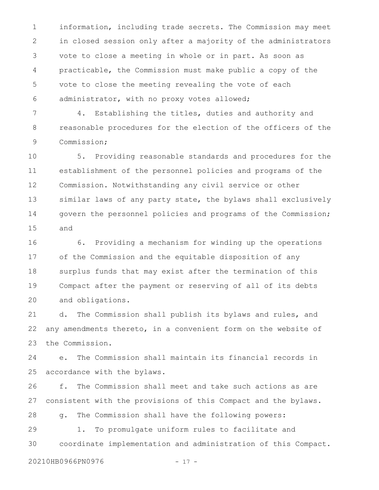information, including trade secrets. The Commission may meet in closed session only after a majority of the administrators vote to close a meeting in whole or in part. As soon as practicable, the Commission must make public a copy of the vote to close the meeting revealing the vote of each administrator, with no proxy votes allowed; 1 2 3 4 5 6

4. Establishing the titles, duties and authority and reasonable procedures for the election of the officers of the Commission; 7 8 9

5. Providing reasonable standards and procedures for the establishment of the personnel policies and programs of the Commission. Notwithstanding any civil service or other similar laws of any party state, the bylaws shall exclusively govern the personnel policies and programs of the Commission; and 10 11 12 13 14 15

6. Providing a mechanism for winding up the operations of the Commission and the equitable disposition of any surplus funds that may exist after the termination of this Compact after the payment or reserving of all of its debts and obligations. 16 17 18 19 20

d. The Commission shall publish its bylaws and rules, and any amendments thereto, in a convenient form on the website of the Commission. 21 22 23

e. The Commission shall maintain its financial records in accordance with the bylaws. 24 25

f. The Commission shall meet and take such actions as are consistent with the provisions of this Compact and the bylaws. 26 27

g. The Commission shall have the following powers: 28

1. To promulgate uniform rules to facilitate and coordinate implementation and administration of this Compact. 29 30

20210HB0966PN0976 - 17 -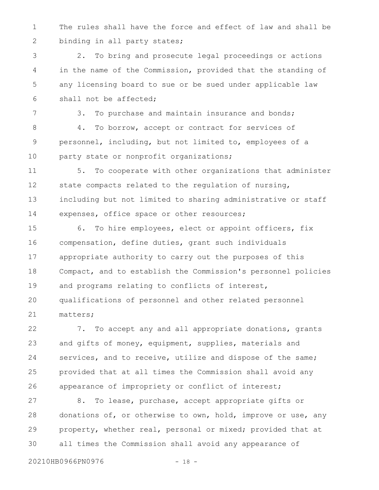The rules shall have the force and effect of law and shall be binding in all party states; 1 2

2. To bring and prosecute legal proceedings or actions in the name of the Commission, provided that the standing of any licensing board to sue or be sued under applicable law shall not be affected; 3 4 5 6

3. To purchase and maintain insurance and bonds; 4. To borrow, accept or contract for services of personnel, including, but not limited to, employees of a party state or nonprofit organizations; 7 8 9 10

5. To cooperate with other organizations that administer state compacts related to the regulation of nursing, including but not limited to sharing administrative or staff expenses, office space or other resources; 11 12 13 14

6. To hire employees, elect or appoint officers, fix compensation, define duties, grant such individuals appropriate authority to carry out the purposes of this Compact, and to establish the Commission's personnel policies and programs relating to conflicts of interest, qualifications of personnel and other related personnel matters; 15 16 17 18 19 20 21

7. To accept any and all appropriate donations, grants and gifts of money, equipment, supplies, materials and services, and to receive, utilize and dispose of the same; provided that at all times the Commission shall avoid any appearance of impropriety or conflict of interest; 22 23 24 25 26

8. To lease, purchase, accept appropriate gifts or donations of, or otherwise to own, hold, improve or use, any property, whether real, personal or mixed; provided that at all times the Commission shall avoid any appearance of 27 28 29 30

20210HB0966PN0976 - 18 -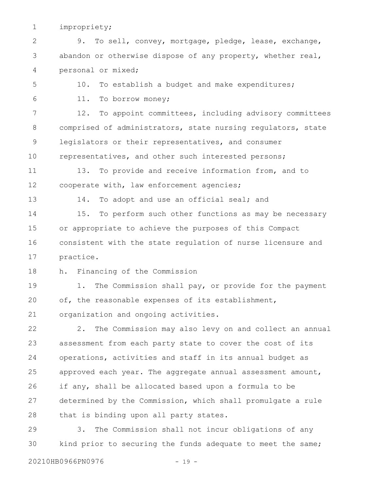impropriety; 1

9. To sell, convey, mortgage, pledge, lease, exchange, abandon or otherwise dispose of any property, whether real, personal or mixed; 2 3 4

10. To establish a budget and make expenditures; 5

6

11. To borrow money;

12. To appoint committees, including advisory committees comprised of administrators, state nursing regulators, state legislators or their representatives, and consumer representatives, and other such interested persons; 7 8 9 10

13. To provide and receive information from, and to cooperate with, law enforcement agencies; 11 12

13

14. To adopt and use an official seal; and

15. To perform such other functions as may be necessary or appropriate to achieve the purposes of this Compact consistent with the state regulation of nurse licensure and practice. 14 15 16 17

h. Financing of the Commission 18

1. The Commission shall pay, or provide for the payment of, the reasonable expenses of its establishment, organization and ongoing activities. 19 20 21

2. The Commission may also levy on and collect an annual assessment from each party state to cover the cost of its operations, activities and staff in its annual budget as approved each year. The aggregate annual assessment amount, if any, shall be allocated based upon a formula to be determined by the Commission, which shall promulgate a rule that is binding upon all party states. 22 23 24 25 26 27 28

3. The Commission shall not incur obligations of any kind prior to securing the funds adequate to meet the same; 29 30

20210HB0966PN0976 - 19 -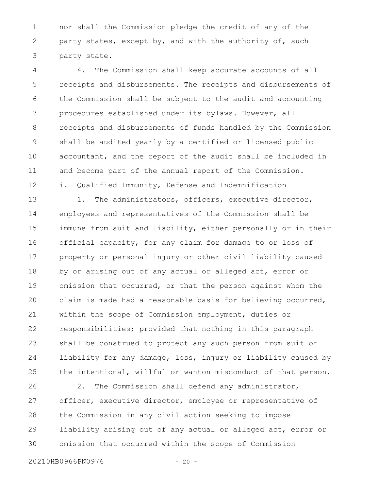nor shall the Commission pledge the credit of any of the party states, except by, and with the authority of, such party state. 1 2 3

4. The Commission shall keep accurate accounts of all receipts and disbursements. The receipts and disbursements of the Commission shall be subject to the audit and accounting procedures established under its bylaws. However, all receipts and disbursements of funds handled by the Commission shall be audited yearly by a certified or licensed public accountant, and the report of the audit shall be included in and become part of the annual report of the Commission. i. Qualified Immunity, Defense and Indemnification 4 5 6 7 8 9 10 11 12

1. The administrators, officers, executive director, employees and representatives of the Commission shall be immune from suit and liability, either personally or in their official capacity, for any claim for damage to or loss of property or personal injury or other civil liability caused by or arising out of any actual or alleged act, error or omission that occurred, or that the person against whom the claim is made had a reasonable basis for believing occurred, within the scope of Commission employment, duties or responsibilities; provided that nothing in this paragraph shall be construed to protect any such person from suit or liability for any damage, loss, injury or liability caused by the intentional, willful or wanton misconduct of that person. 13 14 15 16 17 18 19 20 21 22 23 24 25

2. The Commission shall defend any administrator, officer, executive director, employee or representative of the Commission in any civil action seeking to impose liability arising out of any actual or alleged act, error or omission that occurred within the scope of Commission 26 27 28 29 30

20210HB0966PN0976 - 20 -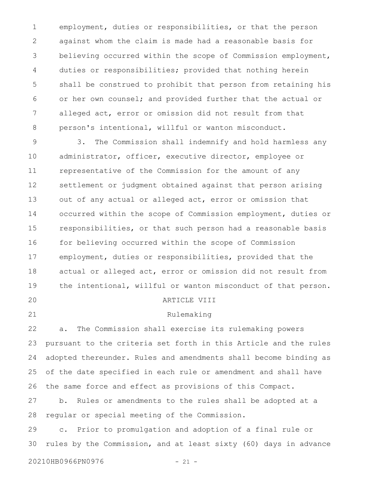employment, duties or responsibilities, or that the person against whom the claim is made had a reasonable basis for believing occurred within the scope of Commission employment, duties or responsibilities; provided that nothing herein shall be construed to prohibit that person from retaining his or her own counsel; and provided further that the actual or alleged act, error or omission did not result from that person's intentional, willful or wanton misconduct. 1 2 3 4 5 6 7 8

3. The Commission shall indemnify and hold harmless any administrator, officer, executive director, employee or representative of the Commission for the amount of any settlement or judgment obtained against that person arising out of any actual or alleged act, error or omission that occurred within the scope of Commission employment, duties or responsibilities, or that such person had a reasonable basis for believing occurred within the scope of Commission employment, duties or responsibilities, provided that the actual or alleged act, error or omission did not result from the intentional, willful or wanton misconduct of that person. ARTICLE VIII 9 10 11 12 13 14 15 16 17 18 19 20

21

## Rulemaking

a. The Commission shall exercise its rulemaking powers pursuant to the criteria set forth in this Article and the rules adopted thereunder. Rules and amendments shall become binding as of the date specified in each rule or amendment and shall have the same force and effect as provisions of this Compact. 22 23 24 25 26

b. Rules or amendments to the rules shall be adopted at a regular or special meeting of the Commission. 27 28

c. Prior to promulgation and adoption of a final rule or rules by the Commission, and at least sixty (60) days in advance 29 30

20210HB0966PN0976 - 21 -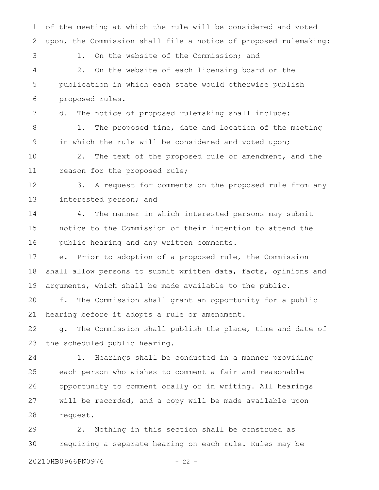of the meeting at which the rule will be considered and voted upon, the Commission shall file a notice of proposed rulemaking: 1. On the website of the Commission; and 2. On the website of each licensing board or the publication in which each state would otherwise publish proposed rules. d. The notice of proposed rulemaking shall include: 1. The proposed time, date and location of the meeting in which the rule will be considered and voted upon; 2. The text of the proposed rule or amendment, and the reason for the proposed rule; 3. A request for comments on the proposed rule from any interested person; and 4. The manner in which interested persons may submit notice to the Commission of their intention to attend the public hearing and any written comments. e. Prior to adoption of a proposed rule, the Commission shall allow persons to submit written data, facts, opinions and arguments, which shall be made available to the public. f. The Commission shall grant an opportunity for a public hearing before it adopts a rule or amendment. g. The Commission shall publish the place, time and date of the scheduled public hearing. 1. Hearings shall be conducted in a manner providing each person who wishes to comment a fair and reasonable opportunity to comment orally or in writing. All hearings will be recorded, and a copy will be made available upon request. 2. Nothing in this section shall be construed as requiring a separate hearing on each rule. Rules may be 1 2 3 4 5 6 7 8 9 10 11 12 13 14 15 16 17 18 19 20 21 22 23 24 25 26 27 28 29 30

20210HB0966PN0976 - 22 -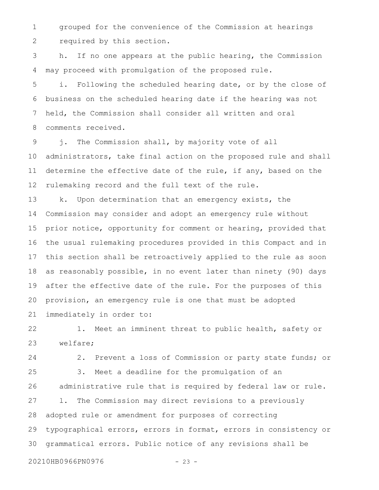grouped for the convenience of the Commission at hearings required by this section. 1 2

h. If no one appears at the public hearing, the Commission may proceed with promulgation of the proposed rule. 3 4

i. Following the scheduled hearing date, or by the close of business on the scheduled hearing date if the hearing was not held, the Commission shall consider all written and oral comments received. 5 6 7 8

j. The Commission shall, by majority vote of all administrators, take final action on the proposed rule and shall determine the effective date of the rule, if any, based on the rulemaking record and the full text of the rule. 9 10 11 12

k. Upon determination that an emergency exists, the Commission may consider and adopt an emergency rule without prior notice, opportunity for comment or hearing, provided that the usual rulemaking procedures provided in this Compact and in this section shall be retroactively applied to the rule as soon as reasonably possible, in no event later than ninety (90) days after the effective date of the rule. For the purposes of this provision, an emergency rule is one that must be adopted immediately in order to: 13 14 15 16 17 18 19 20 21

1. Meet an imminent threat to public health, safety or welfare; 22 23

2. Prevent a loss of Commission or party state funds; or 3. Meet a deadline for the promulgation of an administrative rule that is required by federal law or rule. l. The Commission may direct revisions to a previously adopted rule or amendment for purposes of correcting typographical errors, errors in format, errors in consistency or grammatical errors. Public notice of any revisions shall be 24 25 26 27 28 29 30

20210HB0966PN0976 - 23 -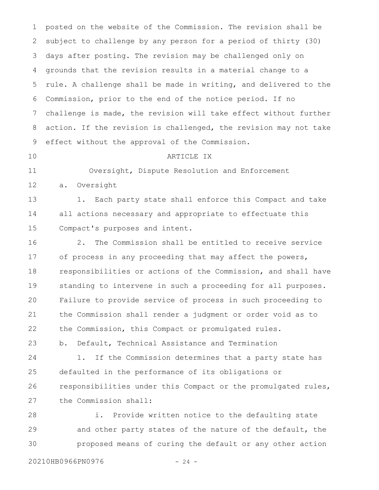posted on the website of the Commission. The revision shall be subject to challenge by any person for a period of thirty (30) days after posting. The revision may be challenged only on grounds that the revision results in a material change to a rule. A challenge shall be made in writing, and delivered to the Commission, prior to the end of the notice period. If no challenge is made, the revision will take effect without further action. If the revision is challenged, the revision may not take effect without the approval of the Commission. ARTICLE IX Oversight, Dispute Resolution and Enforcement a. Oversight 1. Each party state shall enforce this Compact and take 1 2 3 4 5 6 7 8 9 10 11 12 13

all actions necessary and appropriate to effectuate this Compact's purposes and intent. 14 15

2. The Commission shall be entitled to receive service of process in any proceeding that may affect the powers, responsibilities or actions of the Commission, and shall have standing to intervene in such a proceeding for all purposes. Failure to provide service of process in such proceeding to the Commission shall render a judgment or order void as to the Commission, this Compact or promulgated rules. 16 17 18 19 20 21 22

b. Default, Technical Assistance and Termination 23

1. If the Commission determines that a party state has defaulted in the performance of its obligations or responsibilities under this Compact or the promulgated rules, the Commission shall: 24 25 26 27

i. Provide written notice to the defaulting state and other party states of the nature of the default, the proposed means of curing the default or any other action 28 29 30

20210HB0966PN0976 - 24 -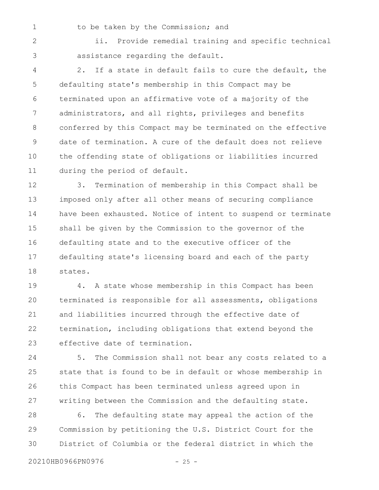1

#### to be taken by the Commission; and

ii. Provide remedial training and specific technical assistance regarding the default. 2 3

2. If a state in default fails to cure the default, the defaulting state's membership in this Compact may be terminated upon an affirmative vote of a majority of the administrators, and all rights, privileges and benefits conferred by this Compact may be terminated on the effective date of termination. A cure of the default does not relieve the offending state of obligations or liabilities incurred during the period of default. 4 5 6 7 8 9 10 11

3. Termination of membership in this Compact shall be imposed only after all other means of securing compliance have been exhausted. Notice of intent to suspend or terminate shall be given by the Commission to the governor of the defaulting state and to the executive officer of the defaulting state's licensing board and each of the party states. 12 13 14 15 16 17 18

4. A state whose membership in this Compact has been terminated is responsible for all assessments, obligations and liabilities incurred through the effective date of termination, including obligations that extend beyond the effective date of termination. 19 20 21 22 23

5. The Commission shall not bear any costs related to a state that is found to be in default or whose membership in this Compact has been terminated unless agreed upon in writing between the Commission and the defaulting state. 24 25 26 27

6. The defaulting state may appeal the action of the Commission by petitioning the U.S. District Court for the District of Columbia or the federal district in which the 28 29 30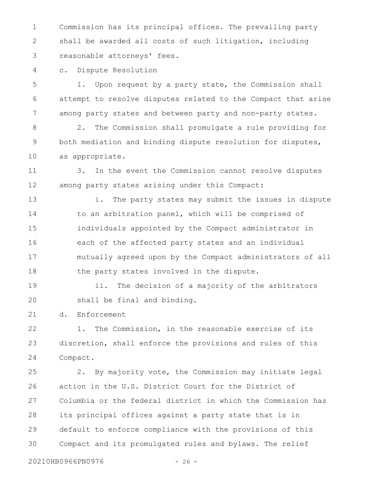Commission has its principal offices. The prevailing party shall be awarded all costs of such litigation, including reasonable attorneys' fees. 1 2 3

c. Dispute Resolution 4

1. Upon request by a party state, the Commission shall attempt to resolve disputes related to the Compact that arise among party states and between party and non-party states. 5 6 7

2. The Commission shall promulgate a rule providing for both mediation and binding dispute resolution for disputes, as appropriate. 8 9 10

3. In the event the Commission cannot resolve disputes among party states arising under this Compact: 11 12

i. The party states may submit the issues in dispute to an arbitration panel, which will be comprised of individuals appointed by the Compact administrator in each of the affected party states and an individual mutually agreed upon by the Compact administrators of all the party states involved in the dispute. 13 14 15 16 17 18

ii. The decision of a majority of the arbitrators shall be final and binding. 19 20

d. Enforcement 21

1. The Commission, in the reasonable exercise of its discretion, shall enforce the provisions and rules of this Compact. 22 23 24

2. By majority vote, the Commission may initiate legal action in the U.S. District Court for the District of Columbia or the federal district in which the Commission has its principal offices against a party state that is in default to enforce compliance with the provisions of this Compact and its promulgated rules and bylaws. The relief 25 26 27 28 29 30

20210HB0966PN0976 - 26 -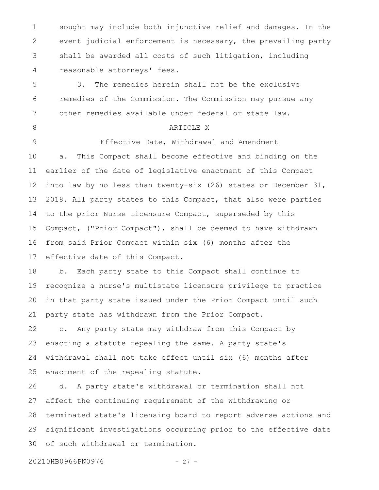sought may include both injunctive relief and damages. In the event judicial enforcement is necessary, the prevailing party shall be awarded all costs of such litigation, including reasonable attorneys' fees. 1 2 3 4

3. The remedies herein shall not be the exclusive remedies of the Commission. The Commission may pursue any other remedies available under federal or state law. 5 6 7

8

#### ARTICLE X

Effective Date, Withdrawal and Amendment a. This Compact shall become effective and binding on the earlier of the date of legislative enactment of this Compact into law by no less than twenty-six (26) states or December 31, 2018. All party states to this Compact, that also were parties to the prior Nurse Licensure Compact, superseded by this Compact, ("Prior Compact"), shall be deemed to have withdrawn from said Prior Compact within six (6) months after the effective date of this Compact. 9 10 11 12 13 14 15 16 17

b. Each party state to this Compact shall continue to recognize a nurse's multistate licensure privilege to practice in that party state issued under the Prior Compact until such party state has withdrawn from the Prior Compact. 18 19 20 21

c. Any party state may withdraw from this Compact by enacting a statute repealing the same. A party state's withdrawal shall not take effect until six (6) months after enactment of the repealing statute. 22 23 24 25

d. A party state's withdrawal or termination shall not affect the continuing requirement of the withdrawing or terminated state's licensing board to report adverse actions and significant investigations occurring prior to the effective date of such withdrawal or termination. 26 27 28 29 30

20210HB0966PN0976 - 27 -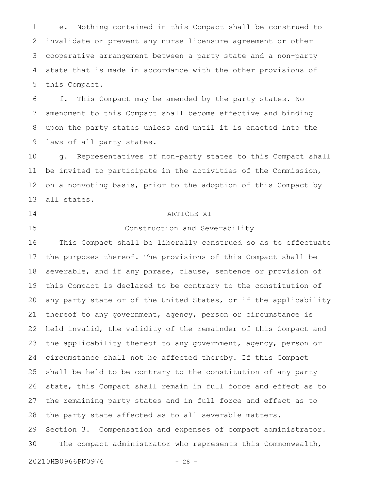e. Nothing contained in this Compact shall be construed to invalidate or prevent any nurse licensure agreement or other cooperative arrangement between a party state and a non-party state that is made in accordance with the other provisions of this Compact. 1 2 3 4 5

f. This Compact may be amended by the party states. No amendment to this Compact shall become effective and binding upon the party states unless and until it is enacted into the laws of all party states. 6 7 8 9

g. Representatives of non-party states to this Compact shall be invited to participate in the activities of the Commission, on a nonvoting basis, prior to the adoption of this Compact by all states. 10 11 12 13

14

#### 15

#### ARTICLE XI

Construction and Severability

This Compact shall be liberally construed so as to effectuate the purposes thereof. The provisions of this Compact shall be severable, and if any phrase, clause, sentence or provision of this Compact is declared to be contrary to the constitution of any party state or of the United States, or if the applicability thereof to any government, agency, person or circumstance is held invalid, the validity of the remainder of this Compact and the applicability thereof to any government, agency, person or circumstance shall not be affected thereby. If this Compact shall be held to be contrary to the constitution of any party state, this Compact shall remain in full force and effect as to the remaining party states and in full force and effect as to the party state affected as to all severable matters. Section 3. Compensation and expenses of compact administrator. The compact administrator who represents this Commonwealth, 16 17 18 19 20 21 22 23 24 25 26 27 28 29 30

20210HB0966PN0976 - 28 -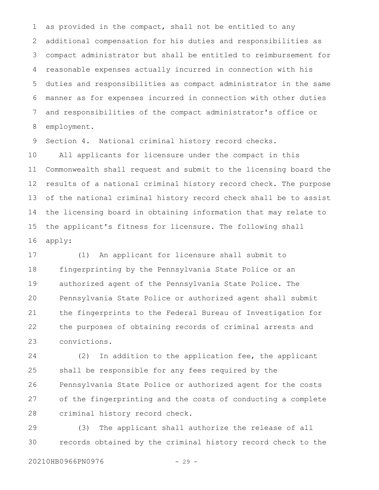as provided in the compact, shall not be entitled to any additional compensation for his duties and responsibilities as compact administrator but shall be entitled to reimbursement for reasonable expenses actually incurred in connection with his duties and responsibilities as compact administrator in the same manner as for expenses incurred in connection with other duties and responsibilities of the compact administrator's office or employment. 1 2 3 4 5 6 7 8

Section 4. National criminal history record checks. 9

All applicants for licensure under the compact in this Commonwealth shall request and submit to the licensing board the results of a national criminal history record check. The purpose of the national criminal history record check shall be to assist the licensing board in obtaining information that may relate to the applicant's fitness for licensure. The following shall apply: 10 11 12 13 14 15 16

(1) An applicant for licensure shall submit to fingerprinting by the Pennsylvania State Police or an authorized agent of the Pennsylvania State Police. The Pennsylvania State Police or authorized agent shall submit the fingerprints to the Federal Bureau of Investigation for the purposes of obtaining records of criminal arrests and convictions. 17 18 19 20 21 22 23

(2) In addition to the application fee, the applicant shall be responsible for any fees required by the Pennsylvania State Police or authorized agent for the costs of the fingerprinting and the costs of conducting a complete criminal history record check. 24 25 26 27 28

(3) The applicant shall authorize the release of all records obtained by the criminal history record check to the 29 30

20210HB0966PN0976 - 29 -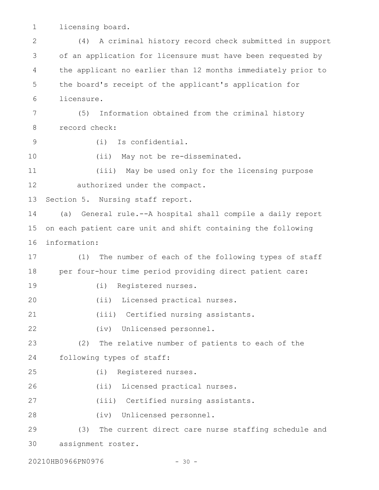licensing board. 1

(4) A criminal history record check submitted in support of an application for licensure must have been requested by the applicant no earlier than 12 months immediately prior to the board's receipt of the applicant's application for licensure. (5) Information obtained from the criminal history record check: (i) Is confidential. (ii) May not be re-disseminated. (iii) May be used only for the licensing purpose authorized under the compact. Section 5. Nursing staff report. (a) General rule.--A hospital shall compile a daily report on each patient care unit and shift containing the following information: (1) The number of each of the following types of staff per four-hour time period providing direct patient care: (i) Registered nurses. (ii) Licensed practical nurses. (iii) Certified nursing assistants. (iv) Unlicensed personnel. (2) The relative number of patients to each of the following types of staff: (i) Registered nurses. (ii) Licensed practical nurses. (iii) Certified nursing assistants. (iv) Unlicensed personnel. (3) The current direct care nurse staffing schedule and assignment roster. 2 3 4 5 6 7 8 9 10 11 12 13 14 15 16 17 18 19 20 21 22 23 24 25 26 27 28 29 30

20210HB0966PN0976 - 30 -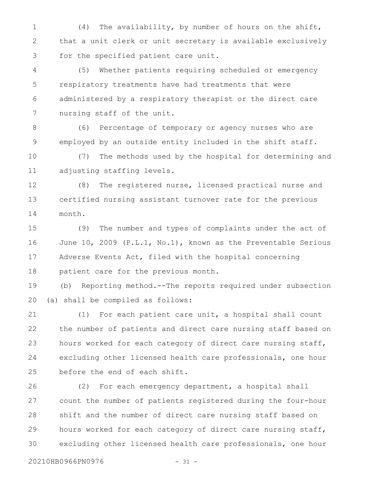(4) The availability, by number of hours on the shift, that a unit clerk or unit secretary is available exclusively for the specified patient care unit. 1 2 3

(5) Whether patients requiring scheduled or emergency respiratory treatments have had treatments that were administered by a respiratory therapist or the direct care nursing staff of the unit. 4 5 6 7

(6) Percentage of temporary or agency nurses who are employed by an outside entity included in the shift staff. 8 9

(7) The methods used by the hospital for determining and adjusting staffing levels. 10 11

(8) The registered nurse, licensed practical nurse and certified nursing assistant turnover rate for the previous month. 12 13 14

(9) The number and types of complaints under the act of June 10, 2009 (P.L.1, No.1), known as the Preventable Serious Adverse Events Act, filed with the hospital concerning patient care for the previous month. 15 16 17 18

(b) Reporting method.--The reports required under subsection (a) shall be compiled as follows: 19 20

(1) For each patient care unit, a hospital shall count the number of patients and direct care nursing staff based on hours worked for each category of direct care nursing staff, excluding other licensed health care professionals, one hour before the end of each shift. 21 22 23 24 25

(2) For each emergency department, a hospital shall count the number of patients registered during the four-hour shift and the number of direct care nursing staff based on hours worked for each category of direct care nursing staff, excluding other licensed health care professionals, one hour 26 27 28 29 30

20210HB0966PN0976 - 31 -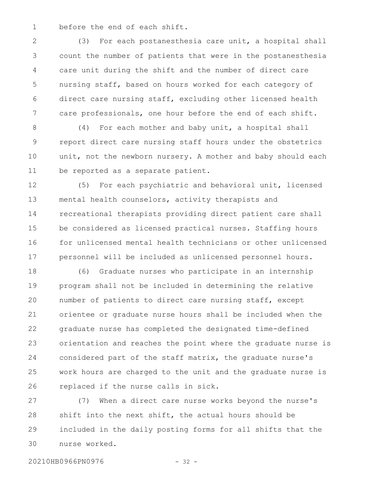before the end of each shift. 1

(3) For each postanesthesia care unit, a hospital shall count the number of patients that were in the postanesthesia care unit during the shift and the number of direct care nursing staff, based on hours worked for each category of direct care nursing staff, excluding other licensed health care professionals, one hour before the end of each shift. 2 3 4 5 6 7

(4) For each mother and baby unit, a hospital shall report direct care nursing staff hours under the obstetrics unit, not the newborn nursery. A mother and baby should each be reported as a separate patient. 8 9 10 11

(5) For each psychiatric and behavioral unit, licensed mental health counselors, activity therapists and recreational therapists providing direct patient care shall be considered as licensed practical nurses. Staffing hours for unlicensed mental health technicians or other unlicensed personnel will be included as unlicensed personnel hours. 12 13 14 15 16 17

(6) Graduate nurses who participate in an internship program shall not be included in determining the relative number of patients to direct care nursing staff, except orientee or graduate nurse hours shall be included when the graduate nurse has completed the designated time-defined orientation and reaches the point where the graduate nurse is considered part of the staff matrix, the graduate nurse's work hours are charged to the unit and the graduate nurse is replaced if the nurse calls in sick. 18 19 20 21 22 23 24 25 26

(7) When a direct care nurse works beyond the nurse's shift into the next shift, the actual hours should be included in the daily posting forms for all shifts that the nurse worked. 27 28 29 30

20210HB0966PN0976 - 32 -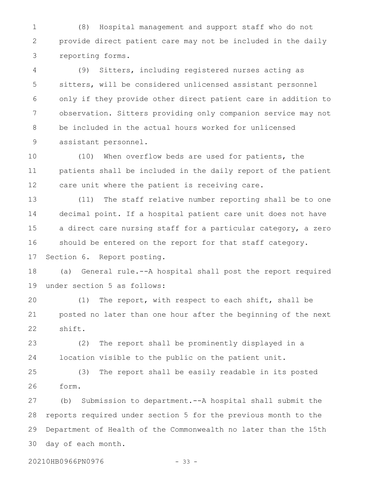(8) Hospital management and support staff who do not provide direct patient care may not be included in the daily reporting forms. 1 2 3

(9) Sitters, including registered nurses acting as sitters, will be considered unlicensed assistant personnel only if they provide other direct patient care in addition to observation. Sitters providing only companion service may not be included in the actual hours worked for unlicensed assistant personnel. 4 5 6 7 8 9

(10) When overflow beds are used for patients, the patients shall be included in the daily report of the patient care unit where the patient is receiving care. 10 11 12

(11) The staff relative number reporting shall be to one decimal point. If a hospital patient care unit does not have a direct care nursing staff for a particular category, a zero should be entered on the report for that staff category. Section 6. Report posting. 13 14 15 16 17

(a) General rule.--A hospital shall post the report required under section 5 as follows: 18 19

(1) The report, with respect to each shift, shall be posted no later than one hour after the beginning of the next shift. 20 21 22

(2) The report shall be prominently displayed in a location visible to the public on the patient unit. 23 24

(3) The report shall be easily readable in its posted form. 25 26

(b) Submission to department.--A hospital shall submit the reports required under section 5 for the previous month to the Department of Health of the Commonwealth no later than the 15th day of each month. 27 28 29 30

20210HB0966PN0976 - 33 -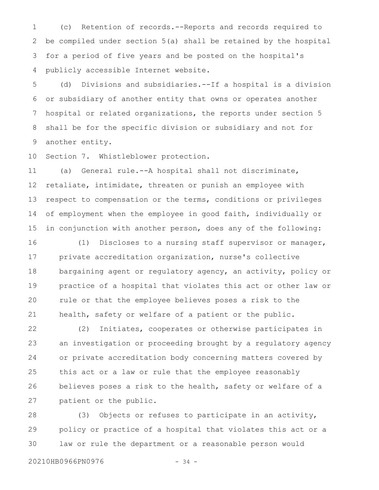(c) Retention of records.--Reports and records required to be compiled under section 5(a) shall be retained by the hospital for a period of five years and be posted on the hospital's publicly accessible Internet website. 1 2 3 4

(d) Divisions and subsidiaries.--If a hospital is a division or subsidiary of another entity that owns or operates another hospital or related organizations, the reports under section 5 shall be for the specific division or subsidiary and not for another entity. 5 6 7 8 9

Section 7. Whistleblower protection. 10

(a) General rule.--A hospital shall not discriminate, retaliate, intimidate, threaten or punish an employee with respect to compensation or the terms, conditions or privileges of employment when the employee in good faith, individually or in conjunction with another person, does any of the following: 11 12 13 14 15

(1) Discloses to a nursing staff supervisor or manager, private accreditation organization, nurse's collective bargaining agent or regulatory agency, an activity, policy or practice of a hospital that violates this act or other law or rule or that the employee believes poses a risk to the health, safety or welfare of a patient or the public. 16 17 18 19 20 21

(2) Initiates, cooperates or otherwise participates in an investigation or proceeding brought by a regulatory agency or private accreditation body concerning matters covered by this act or a law or rule that the employee reasonably believes poses a risk to the health, safety or welfare of a patient or the public. 22 23 24 25 26 27

(3) Objects or refuses to participate in an activity, policy or practice of a hospital that violates this act or a law or rule the department or a reasonable person would 28 29 30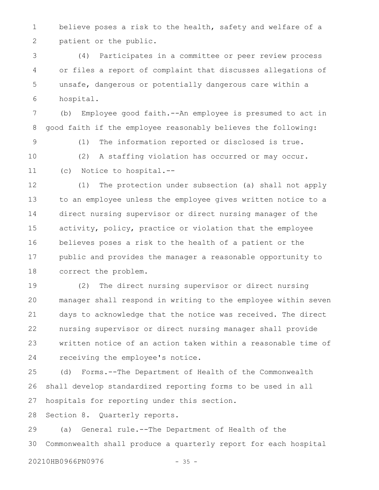believe poses a risk to the health, safety and welfare of a patient or the public. 1 2

(4) Participates in a committee or peer review process or files a report of complaint that discusses allegations of unsafe, dangerous or potentially dangerous care within a hospital. 3 4 5 6

(b) Employee good faith.--An employee is presumed to act in good faith if the employee reasonably believes the following: 7 8

(1) The information reported or disclosed is true. (2) A staffing violation has occurred or may occur. (c) Notice to hospital.-- 9 10 11

(1) The protection under subsection (a) shall not apply to an employee unless the employee gives written notice to a direct nursing supervisor or direct nursing manager of the activity, policy, practice or violation that the employee believes poses a risk to the health of a patient or the public and provides the manager a reasonable opportunity to correct the problem. 12 13 14 15 16 17 18

(2) The direct nursing supervisor or direct nursing manager shall respond in writing to the employee within seven days to acknowledge that the notice was received. The direct nursing supervisor or direct nursing manager shall provide written notice of an action taken within a reasonable time of receiving the employee's notice. 19 20 21 22 23 24

(d) Forms.--The Department of Health of the Commonwealth shall develop standardized reporting forms to be used in all hospitals for reporting under this section. 25 26 27

Section 8. Quarterly reports. 28

(a) General rule.--The Department of Health of the Commonwealth shall produce a quarterly report for each hospital 29 30

20210HB0966PN0976 - 35 -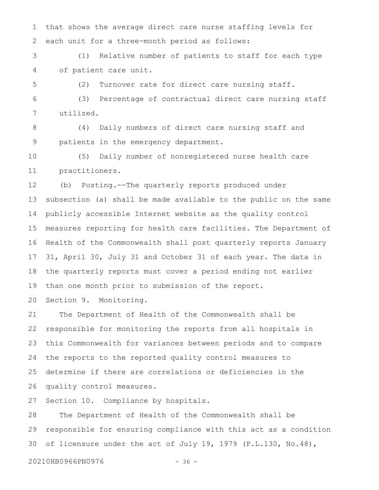that shows the average direct care nurse staffing levels for each unit for a three-month period as follows: 1 2

(1) Relative number of patients to staff for each type of patient care unit. 3 4

(2) Turnover rate for direct care nursing staff. 5

(3) Percentage of contractual direct care nursing staff utilized. 6 7

(4) Daily numbers of direct care nursing staff and patients in the emergency department. 8 9

(5) Daily number of nonregistered nurse health care practitioners. 10 11

(b) Posting.--The quarterly reports produced under subsection (a) shall be made available to the public on the same publicly accessible Internet website as the quality control measures reporting for health care facilities. The Department of Health of the Commonwealth shall post quarterly reports January 31, April 30, July 31 and October 31 of each year. The data in the quarterly reports must cover a period ending not earlier than one month prior to submission of the report. 12 13 14 15 16 17 18 19

Section 9. Monitoring. 20

The Department of Health of the Commonwealth shall be responsible for monitoring the reports from all hospitals in this Commonwealth for variances between periods and to compare the reports to the reported quality control measures to determine if there are correlations or deficiencies in the quality control measures. 21 22 23 24 25 26

Section 10. Compliance by hospitals. 27

The Department of Health of the Commonwealth shall be responsible for ensuring compliance with this act as a condition of licensure under the act of July 19, 1979 (P.L.130, No.48), 28 29 30

20210HB0966PN0976 - 36 -